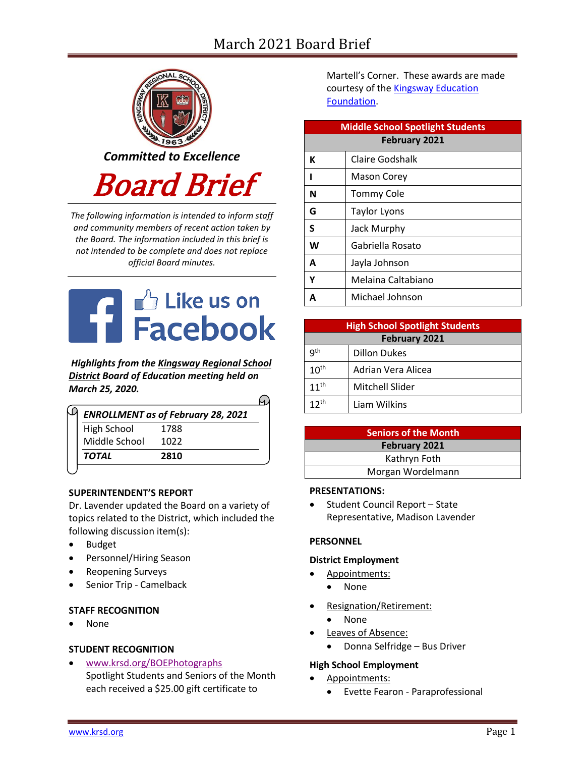# March 2021 Board Brief



*The following information is intended to inform staff and community members of recent action taken by the Board. The information included in this brief is not intended to be complete and does not replace official Board minutes.*



*Highlights from the [Kingsway Regional School](https://www.facebook.com/KingswayDragons)  [District](https://www.facebook.com/KingswayDragons) Board of Education meeting held on March 25, 2020.*

 $\Omega$ 

| 1788 |
|------|
|      |
| 1022 |
| 2810 |
|      |

## **SUPERINTENDENT'S REPORT**

Dr. Lavender updated the Board on a variety of topics related to the District, which included the following discussion item(s):

- Budget
- Personnel/Hiring Season
- Reopening Surveys
- Senior Trip Camelback

## **STAFF RECOGNITION**

• None

## **STUDENT RECOGNITION**

• [www.krsd.org/BOEPhotographs](https://www.krsd.org/site/default.aspx?PageType=3&ModuleInstanceID=4548&ViewID=94B66785-F3F0-41A8-8414-1E55691D3E9E&RenderLoc=0&FlexDataID=7312&PageID=1303) Spotlight Students and Seniors of the Month each received a \$25.00 gift certificate to

Martell's Corner. These awards are made courtesy of the **Kingsway Education** [Foundation.](https://www.krsd.org/KEF)

| <b>Middle School Spotlight Students</b> |                     |  |  |  |
|-----------------------------------------|---------------------|--|--|--|
| <b>February 2021</b>                    |                     |  |  |  |
| К                                       | Claire Godshalk     |  |  |  |
| ı                                       | Mason Corey         |  |  |  |
| N                                       | Tommy Cole          |  |  |  |
| G                                       | <b>Taylor Lyons</b> |  |  |  |
| S                                       | Jack Murphy         |  |  |  |
| W                                       | Gabriella Rosato    |  |  |  |
| A                                       | Jayla Johnson       |  |  |  |
| Υ                                       | Melaina Caltabiano  |  |  |  |
| A                                       | Michael Johnson     |  |  |  |

| <b>High School Spotlight Students</b> |                     |  |  |  |
|---------------------------------------|---------------------|--|--|--|
| <b>February 2021</b>                  |                     |  |  |  |
| qth                                   | <b>Dillon Dukes</b> |  |  |  |
| 10 <sup>th</sup>                      | Adrian Vera Alicea  |  |  |  |
| $11^{th}$                             | Mitchell Slider     |  |  |  |
| $12^{th}$                             | Liam Wilkins        |  |  |  |

| <b>Seniors of the Month</b> |  |  |  |
|-----------------------------|--|--|--|
| <b>February 2021</b>        |  |  |  |
| Kathryn Foth                |  |  |  |
| Morgan Wordelmann           |  |  |  |

#### **PRESENTATIONS:**

• Student Council Report – State Representative, Madison Lavender

## **PERSONNEL**

#### **District Employment**

- Appointments:
	- None
- Resignation/Retirement:
	- None
- Leaves of Absence:
	- Donna Selfridge Bus Driver

## **High School Employment**

- Appointments:
	- Evette Fearon Paraprofessional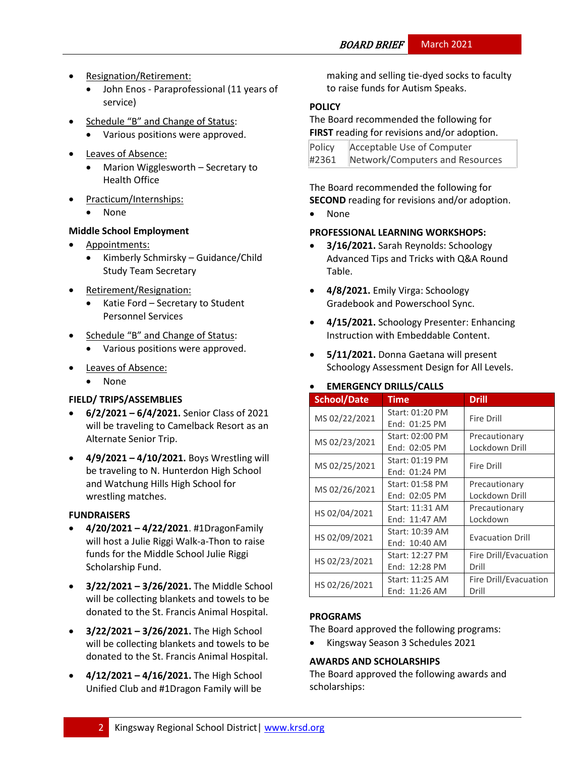- Resignation/Retirement:
	- John Enos Paraprofessional (11 years of service)
- Schedule "B" and Change of Status:
	- Various positions were approved.
- Leaves of Absence:
	- Marion Wigglesworth Secretary to Health Office
- Practicum/Internships:
	- None

## **Middle School Employment**

- Appointments:
	- Kimberly Schmirsky Guidance/Child Study Team Secretary
- Retirement/Resignation:
	- Katie Ford Secretary to Student Personnel Services
- Schedule "B" and Change of Status:
	- Various positions were approved.
- Leaves of Absence:
	- None

# **FIELD/ TRIPS/ASSEMBLIES**

- **6/2/2021 – 6/4/2021.** Senior Class of 2021 will be traveling to Camelback Resort as an Alternate Senior Trip.
- **4/9/2021 – 4/10/2021.** Boys Wrestling will be traveling to N. Hunterdon High School and Watchung Hills High School for wrestling matches.

## **FUNDRAISERS**

- **4/20/2021 – 4/22/2021**. #1DragonFamily will host a Julie Riggi Walk-a-Thon to raise funds for the Middle School Julie Riggi Scholarship Fund.
- **3/22/2021 – 3/26/2021.** The Middle School will be collecting blankets and towels to be donated to the St. Francis Animal Hospital.
- **3/22/2021 – 3/26/2021.** The High School will be collecting blankets and towels to be donated to the St. Francis Animal Hospital.
- **4/12/2021 – 4/16/2021.** The High School Unified Club and #1Dragon Family will be

making and selling tie-dyed socks to faculty to raise funds for Autism Speaks.

# **[POLICY](http://www.straussesmay.com/seportal/Public/DistrictPolicyTOC.aspx?id=f0cc945ef3894b8d9ad5f87d948ca425&PolicyID=)**

The Board recommended the following for **FIRST** reading for revisions and/or adoption.

| Policy | Acceptable Use of Computer      |
|--------|---------------------------------|
| #2361  | Network/Computers and Resources |

The Board recommended the following for **SECOND** reading for revisions and/or adoption.

• None

## **PROFESSIONAL LEARNING WORKSHOPS:**

- **3/16/2021.** Sarah Reynolds: Schoology Advanced Tips and Tricks with Q&A Round Table.
- **4/8/2021.** Emily Virga: Schoology Gradebook and Powerschool Sync.
- **4/15/2021.** Schoology Presenter: Enhancing Instruction with Embeddable Content.
- **5/11/2021.** Donna Gaetana will present Schoology Assessment Design for All Levels.

## • **EMERGENCY DRILLS/CALLS**

| <b>School/Date</b> | Time                             | Drill                           |
|--------------------|----------------------------------|---------------------------------|
| MS 02/22/2021      | Start: 01:20 PM<br>End: 01:25 PM | <b>Fire Drill</b>               |
| MS 02/23/2021      | Start: 02:00 PM<br>End: 02:05 PM | Precautionary<br>Lockdown Drill |
| MS 02/25/2021      | Start: 01:19 PM<br>End: 01:24 PM | <b>Fire Drill</b>               |
| MS 02/26/2021      | Start: 01:58 PM<br>End: 02:05 PM | Precautionary<br>Lockdown Drill |
| HS 02/04/2021      | Start: 11:31 AM<br>End: 11:47 AM | Precautionary<br>Lockdown       |
| HS 02/09/2021      | Start: 10:39 AM<br>End: 10:40 AM | <b>Evacuation Drill</b>         |
| HS 02/23/2021      | Start: 12:27 PM<br>End: 12:28 PM | Fire Drill/Evacuation<br>Drill  |
| HS 02/26/2021      | Start: 11:25 AM<br>End: 11:26 AM | Fire Drill/Evacuation<br>Drill  |

# **PROGRAMS**

The Board approved the following programs:

• Kingsway Season 3 Schedules 2021

## **AWARDS AND SCHOLARSHIPS**

The Board approved the following awards and scholarships: